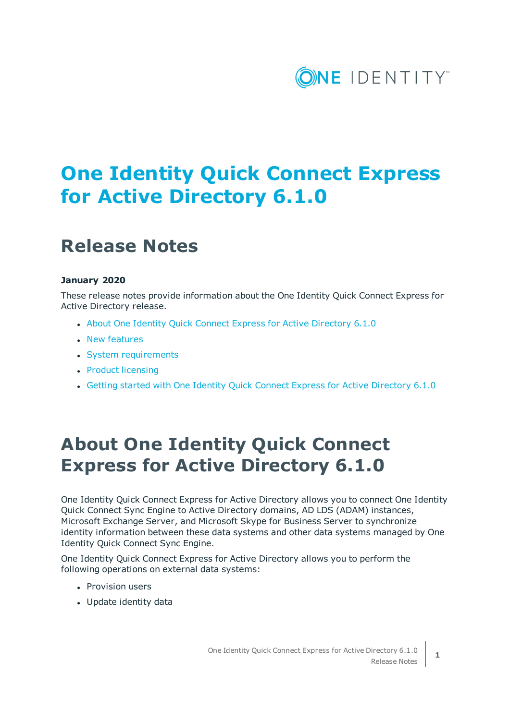

# **One Identity Quick Connect Express for Active Directory 6.1.0**

## **Release Notes**

#### **January 2020**

These release notes provide information about the One Identity Quick Connect Express for Active Directory release.

- About One Identity Quick Connect Express for Active [Directory](#page-0-0) 6.1.0
- New [features](#page-1-0)
- System [requirements](#page-2-0)
- Product [licensing](#page-4-0)
- Getting started with One Identity Quick Connect Express for Active [Directory](#page-5-0) 6.1.0

### <span id="page-0-0"></span>**About One Identity Quick Connect Express for Active Directory 6.1.0**

One Identity Quick Connect Express for Active Directory allows you to connect One Identity Quick Connect Sync Engine to Active Directory domains, AD LDS (ADAM) instances, Microsoft Exchange Server, and Microsoft Skype for Business Server to synchronize identity information between these data systems and other data systems managed by One Identity Quick Connect Sync Engine.

One Identity Quick Connect Express for Active Directory allows you to perform the following operations on external data systems:

- Provision users
- Update identity data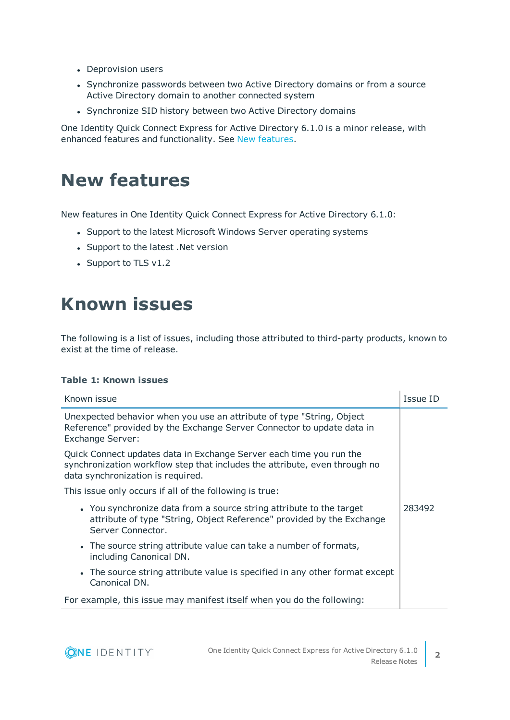- Deprovision users
- Synchronize passwords between two Active Directory domains or from a source Active Directory domain to another connected system
- Synchronize SID history between two Active Directory domains

One Identity Quick Connect Express for Active Directory 6.1.0 is a minor release, with enhanced features and functionality. See New [features.](#page-1-0)

### <span id="page-1-0"></span>**New features**

New features in One Identity Quick Connect Express for Active Directory 6.1.0:

- Support to the latest Microsoft Windows Server operating systems
- Support to the latest .Net version
- Support to TLS v1.2

### **Known issues**

The following is a list of issues, including those attributed to third-party products, known to exist at the time of release.

#### **Table 1: Known issues**

| Known issue                                                                                                                                                                            | Issue ID |  |  |  |
|----------------------------------------------------------------------------------------------------------------------------------------------------------------------------------------|----------|--|--|--|
| Unexpected behavior when you use an attribute of type "String, Object<br>Reference" provided by the Exchange Server Connector to update data in<br><b>Exchange Server:</b>             |          |  |  |  |
| Quick Connect updates data in Exchange Server each time you run the<br>synchronization workflow step that includes the attribute, even through no<br>data synchronization is required. |          |  |  |  |
| This issue only occurs if all of the following is true:                                                                                                                                |          |  |  |  |
| • You synchronize data from a source string attribute to the target<br>attribute of type "String, Object Reference" provided by the Exchange<br>Server Connector.                      | 283492   |  |  |  |
| • The source string attribute value can take a number of formats,<br>including Canonical DN.                                                                                           |          |  |  |  |
| • The source string attribute value is specified in any other format except<br>Canonical DN.                                                                                           |          |  |  |  |
| For example, this issue may manifest itself when you do the following:                                                                                                                 |          |  |  |  |

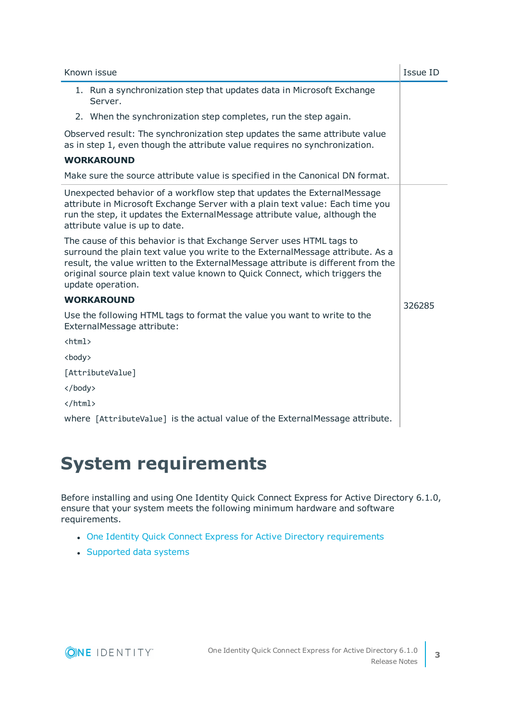|               | Known issue                                                                                                                                                                                                                                                                                                                                    | Issue ID |
|---------------|------------------------------------------------------------------------------------------------------------------------------------------------------------------------------------------------------------------------------------------------------------------------------------------------------------------------------------------------|----------|
|               | 1. Run a synchronization step that updates data in Microsoft Exchange<br>Server.                                                                                                                                                                                                                                                               |          |
|               | 2. When the synchronization step completes, run the step again.                                                                                                                                                                                                                                                                                |          |
|               | Observed result: The synchronization step updates the same attribute value<br>as in step 1, even though the attribute value requires no synchronization.                                                                                                                                                                                       |          |
|               | <b>WORKAROUND</b>                                                                                                                                                                                                                                                                                                                              |          |
|               | Make sure the source attribute value is specified in the Canonical DN format.                                                                                                                                                                                                                                                                  |          |
|               | Unexpected behavior of a workflow step that updates the ExternalMessage<br>attribute in Microsoft Exchange Server with a plain text value: Each time you<br>run the step, it updates the ExternalMessage attribute value, although the<br>attribute value is up to date.                                                                       |          |
|               | The cause of this behavior is that Exchange Server uses HTML tags to<br>surround the plain text value you write to the ExternalMessage attribute. As a<br>result, the value written to the ExternalMessage attribute is different from the<br>original source plain text value known to Quick Connect, which triggers the<br>update operation. |          |
|               | <b>WORKAROUND</b>                                                                                                                                                                                                                                                                                                                              | 326285   |
|               | Use the following HTML tags to format the value you want to write to the<br>ExternalMessage attribute:                                                                                                                                                                                                                                         |          |
| $\hbox{\tt }$ |                                                                                                                                                                                                                                                                                                                                                |          |
| <body></body> |                                                                                                                                                                                                                                                                                                                                                |          |
|               | [AttributeValue]                                                                                                                                                                                                                                                                                                                               |          |
|               |                                                                                                                                                                                                                                                                                                                                                |          |
|               |                                                                                                                                                                                                                                                                                                                                                |          |
|               | where [AttributeValue] is the actual value of the ExternalMessage attribute.                                                                                                                                                                                                                                                                   |          |

# <span id="page-2-0"></span>**System requirements**

Before installing and using One Identity Quick Connect Express for Active Directory 6.1.0, ensure that your system meets the following minimum hardware and software requirements.

- One Identity Quick Connect Express for Active Directory [requirements](#page-3-0)
- [Supported](#page-3-1) data systems

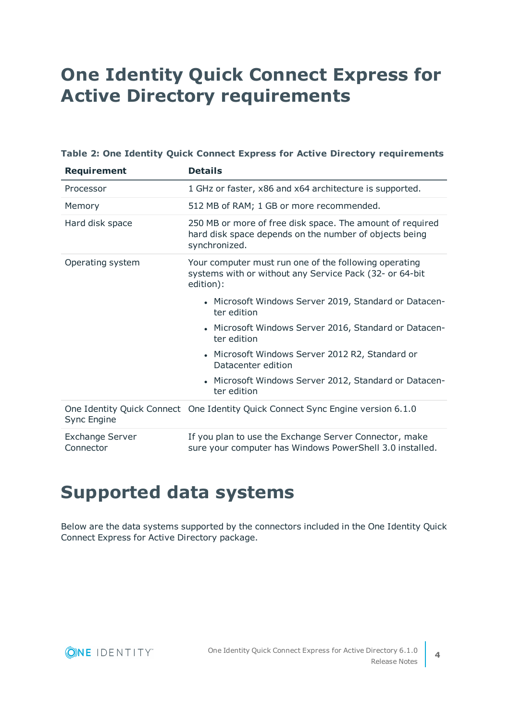# <span id="page-3-0"></span>**One Identity Quick Connect Express for Active Directory requirements**

|  |  |  |  |  |  |  |  | Table 2: One Identity Quick Connect Express for Active Directory requirements |
|--|--|--|--|--|--|--|--|-------------------------------------------------------------------------------|
|--|--|--|--|--|--|--|--|-------------------------------------------------------------------------------|

| <b>Requirement</b>                  | <b>Details</b>                                                                                                                       |
|-------------------------------------|--------------------------------------------------------------------------------------------------------------------------------------|
| Processor                           | 1 GHz or faster, x86 and x64 architecture is supported.                                                                              |
| Memory                              | 512 MB of RAM; 1 GB or more recommended.                                                                                             |
| Hard disk space                     | 250 MB or more of free disk space. The amount of required<br>hard disk space depends on the number of objects being<br>synchronized. |
| Operating system                    | Your computer must run one of the following operating<br>systems with or without any Service Pack (32- or 64-bit<br>edition):        |
|                                     | • Microsoft Windows Server 2019, Standard or Datacen-<br>ter edition                                                                 |
|                                     | • Microsoft Windows Server 2016, Standard or Datacen-<br>ter edition                                                                 |
|                                     | • Microsoft Windows Server 2012 R2, Standard or<br>Datacenter edition                                                                |
|                                     | • Microsoft Windows Server 2012, Standard or Datacen-<br>ter edition                                                                 |
| Sync Engine                         | One Identity Quick Connect One Identity Quick Connect Sync Engine version 6.1.0                                                      |
| <b>Exchange Server</b><br>Connector | If you plan to use the Exchange Server Connector, make<br>sure your computer has Windows PowerShell 3.0 installed.                   |

## <span id="page-3-1"></span>**Supported data systems**

Below are the data systems supported by the connectors included in the One Identity Quick Connect Express for Active Directory package.

**4**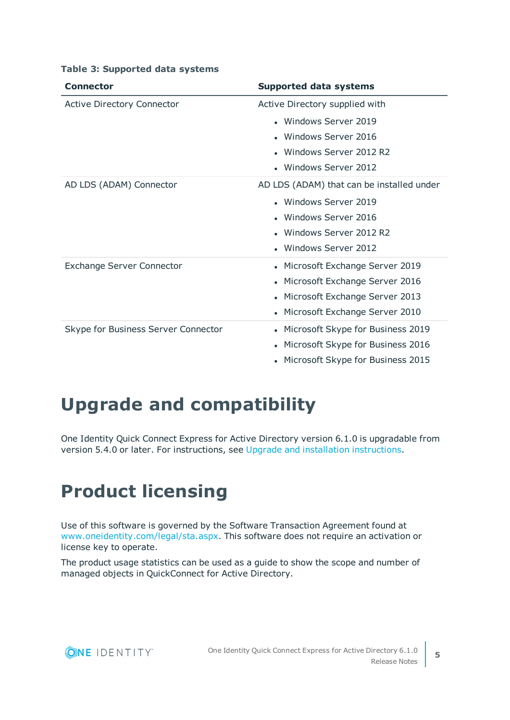| <b>Connector</b>                    | <b>Supported data systems</b>                  |
|-------------------------------------|------------------------------------------------|
| <b>Active Directory Connector</b>   | Active Directory supplied with                 |
|                                     | • Windows Server 2019                          |
|                                     | • Windows Server 2016                          |
|                                     | • Windows Server 2012 R2                       |
|                                     | • Windows Server 2012                          |
| AD LDS (ADAM) Connector             | AD LDS (ADAM) that can be installed under      |
|                                     | • Windows Server 2019                          |
|                                     | Windows Server 2016                            |
|                                     | Windows Server 2012 R2                         |
|                                     | Windows Server 2012                            |
| <b>Exchange Server Connector</b>    | • Microsoft Exchange Server 2019               |
|                                     | • Microsoft Exchange Server 2016               |
|                                     | • Microsoft Exchange Server 2013               |
|                                     | • Microsoft Exchange Server 2010               |
| Skype for Business Server Connector | Microsoft Skype for Business 2019<br>$\bullet$ |
|                                     | Microsoft Skype for Business 2016<br>$\bullet$ |
|                                     | Microsoft Skype for Business 2015              |

#### **Table 3: Supported data systems**

## **Upgrade and compatibility**

One Identity Quick Connect Express for Active Directory version 6.1.0 is upgradable from version 5.4.0 or later. For instructions, see Upgrade and installation [instructions.](#page-5-1)

## <span id="page-4-0"></span>**Product licensing**

Use of this software is governed by the Software Transaction Agreement found at [www.oneidentity.com/legal/sta.aspx](http://www.oneidentity.com/legal/sta.aspx). This software does not require an activation or license key to operate.

The product usage statistics can be used as a guide to show the scope and number of managed objects in QuickConnect for Active Directory.



**5**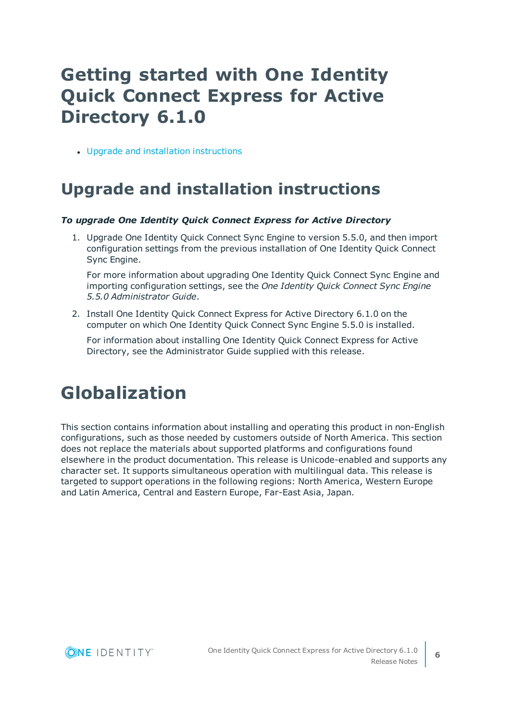# <span id="page-5-0"></span>**Getting started with One Identity Quick Connect Express for Active Directory 6.1.0**

• Upgrade and installation [instructions](#page-5-1)

#### <span id="page-5-1"></span>**Upgrade and installation instructions**

#### *To upgrade One Identity Quick Connect Express for Active Directory*

1. Upgrade One Identity Quick Connect Sync Engine to version 5.5.0, and then import configuration settings from the previous installation of One Identity Quick Connect Sync Engine.

For more information about upgrading One Identity Quick Connect Sync Engine and importing configuration settings, see the *One Identity Quick Connect Sync Engine 5.5.0 Administrator Guide*.

2. Install One Identity Quick Connect Express for Active Directory 6.1.0 on the computer on which One Identity Quick Connect Sync Engine 5.5.0 is installed.

For information about installing One Identity Quick Connect Express for Active Directory, see the Administrator Guide supplied with this release.

## **Globalization**

This section contains information about installing and operating this product in non-English configurations, such as those needed by customers outside of North America. This section does not replace the materials about supported platforms and configurations found elsewhere in the product documentation. This release is Unicode-enabled and supports any character set. It supports simultaneous operation with multilingual data. This release is targeted to support operations in the following regions: North America, Western Europe and Latin America, Central and Eastern Europe, Far-East Asia, Japan.

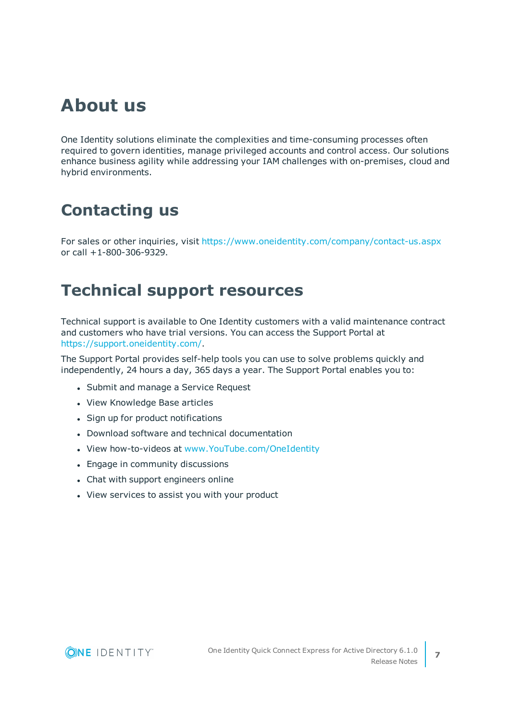### **About us**

One Identity solutions eliminate the complexities and time-consuming processes often required to govern identities, manage privileged accounts and control access. Our solutions enhance business agility while addressing your IAM challenges with on-premises, cloud and hybrid environments.

#### **Contacting us**

For sales or other inquiries, visit <https://www.oneidentity.com/company/contact-us.aspx> or call +1-800-306-9329.

#### **Technical support resources**

Technical support is available to One Identity customers with a valid maintenance contract and customers who have trial versions. You can access the Support Portal at [https://support.oneidentity.com/.](https://support.oneidentity.com/)

The Support Portal provides self-help tools you can use to solve problems quickly and independently, 24 hours a day, 365 days a year. The Support Portal enables you to:

- Submit and manage a Service Request
- View Knowledge Base articles
- Sign up for product notifications
- Download software and technical documentation
- View how-to-videos at [www.YouTube.com/OneIdentity](http://www.youtube.com/OneIdentity)
- Engage in community discussions
- Chat with support engineers online
- View services to assist you with your product